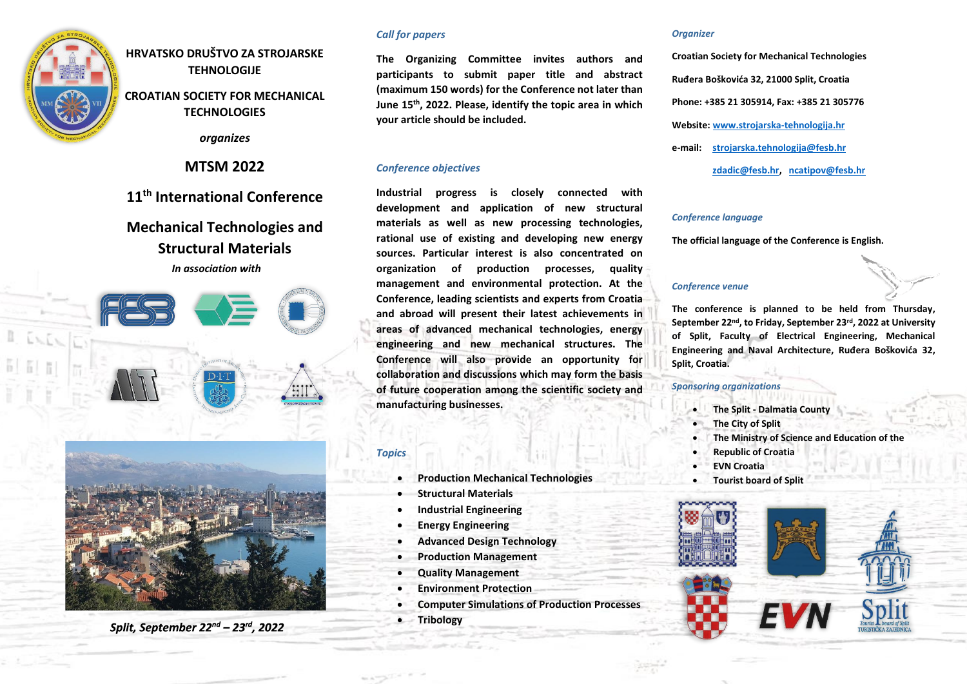

**HRVATSKO DRUŠTVO ZA STROJARSKE TEHNOLOGIJE**

**CROATIAN SOCIETY FOR MECHANICAL TECHNOLOGIES**

*organizes*

**MTSM 2022**

**11 th International Conference**

# **Mechanical Technologies and Structural Materials**

*In association with*





Split, September 22<sup>nd</sup> - 23<sup>rd</sup>, 2022

## *Call for papers*

**The Organizing Committee invites authors and participants to submit paper title and abstract (maximum 150 words) for the Conference not later than June 15th, 2022. Please, identify the topic area in which your article should be included.**

## *Conference objectives*

**Industrial progress is closely connected with development and application of new structural materials as well as new processing technologies, rational use of existing and developing new energy sources. Particular interest is also concentrated on organization of production processes, quality management and environmental protection. At the Conference, leading scientists and experts from Croatia and abroad will present their latest achievements in areas of advanced mechanical technologies, energy engineering and new mechanical structures. The Conference will also provide an opportunity for collaboration and discussions which may form the basis of future cooperation among the scientific society and manufacturing businesses.** 

## *Topics*

- **Production Mechanical Technologies**
- **Structural Materials**
- **Industrial Engineering**
- **Energy Engineering**
- **Advanced Design Technology**
- **Production Management**
- **Quality Management**
- **Environment Protection**
- **Computer Simulations of Production Processes**
- **Tribology**

#### *Organizer*

**Croatian Society for Mechanical Technologies Ruđera Boškovića 32, 21000 Split, Croatia Phone: +385 21 305914, Fax: +385 21 305776 Website[: www.strojarska-tehnologija.hr](http://www.strojarska-tehnologija.hr/) e-mail: [strojarska.tehnologija@fesb.hr](mailto:strojarska.tehnologija@fesb.hr) [zdadic@fesb.hr,](mailto:zdadic@fesb.hr) [ncatipov@fesb.hr](mailto:ncatipov@fesb.hr)**

#### *Conference language*

**The official language of the Conference is English.**

## *Conference venue*

**The conference is planned to be held from Thursday, September 22 nd , to Friday, September 23 rd, 2022 at University of Split, Faculty of Electrical Engineering, Mechanical Engineering and Naval Architecture, Ruđera Boškovića 32, Split, Croatia.**

## *Sponsoring organizations*

- **The Split - Dalmatia County**
	- **The City of Split**
- **The Ministry of Science and Education of the**
- **Republic of Croatia**
- **EVN Croatia**
- **Tourist board of Split**